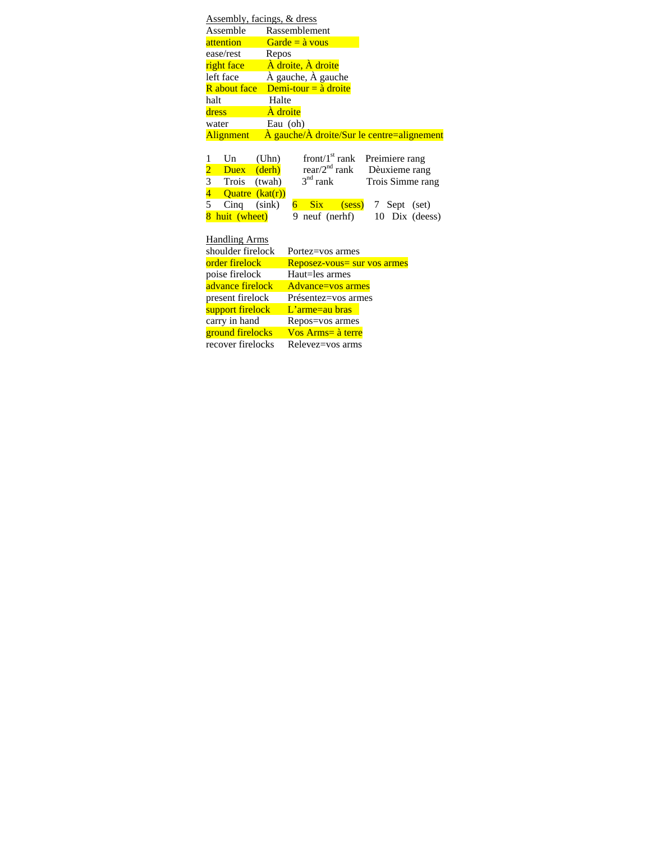| Assembly, facings, & dress |                 |                       |                                |                               |  |                |                                                                                   |
|----------------------------|-----------------|-----------------------|--------------------------------|-------------------------------|--|----------------|-----------------------------------------------------------------------------------|
| Assemble                   |                 |                       | Rassemblement                  |                               |  |                |                                                                                   |
| attention                  |                 |                       | $Garde = \hat{a} \text{ vous}$ |                               |  |                |                                                                                   |
| ease/rest                  | Repos           |                       |                                |                               |  |                |                                                                                   |
| right face                 |                 |                       | A droite, A droite             |                               |  |                |                                                                                   |
| left face                  |                 |                       | À gauche, À gauche             |                               |  |                |                                                                                   |
| <b>R</b> about face        |                 |                       | Demi-tour = $\hat{a}$ droite   |                               |  |                |                                                                                   |
| halt                       | Halte           |                       |                                |                               |  |                |                                                                                   |
| dress                      | À droite        |                       |                                |                               |  |                |                                                                                   |
| water                      | Eau (oh)        |                       |                                |                               |  |                |                                                                                   |
| Alignment                  |                 |                       |                                |                               |  |                | $\overrightarrow{A}$ gauche/ $\overrightarrow{A}$ droite/Sur le centre=alignement |
|                            |                 |                       |                                |                               |  |                |                                                                                   |
| Un<br>1                    | (Uhn)           |                       |                                | front/ $1st$ rank             |  | Preimiere rang |                                                                                   |
|                            | Duex (derh)     |                       |                                | $rear/2nd rank$ Dèuxieme rang |  |                |                                                                                   |
| $\frac{2}{3}$<br>Trois     | (twah)          |                       | $3nd$ rank                     |                               |  |                | Trois Simme rang                                                                  |
|                            | Quatre (kat(r)) |                       |                                |                               |  |                |                                                                                   |
| 5<br>$C$ inq               | (sink)          | $6 -$                 |                                | Six (sess) 7 Sept (set)       |  |                |                                                                                   |
| 8 huit (wheet)             |                 |                       |                                | 9 neuf (nerhf)                |  |                | 10 Dix (deess)                                                                    |
|                            |                 |                       |                                |                               |  |                |                                                                                   |
| <b>Handling Arms</b>       |                 |                       |                                |                               |  |                |                                                                                   |
| shoulder firelock          |                 |                       |                                | Portez=vos armes              |  |                |                                                                                   |
| order firelock             |                 |                       |                                | Reposez-vous= sur vos armes   |  |                |                                                                                   |
| poise firelock             |                 |                       | Haut=les armes                 |                               |  |                |                                                                                   |
| advance firelock           |                 |                       |                                | Advance=vos armes             |  |                |                                                                                   |
| present firelock           |                 |                       |                                | Présentez=vos armes           |  |                |                                                                                   |
| support firelock           |                 | $L'$ arme $=$ au bras |                                |                               |  |                |                                                                                   |
| carry in hand              |                 | Repos=vos armes       |                                |                               |  |                |                                                                                   |
| ground firelocks           |                 |                       |                                | Vos Arms= à terre             |  |                |                                                                                   |
| recover firelocks          |                 |                       |                                | Relevez=vos arms              |  |                |                                                                                   |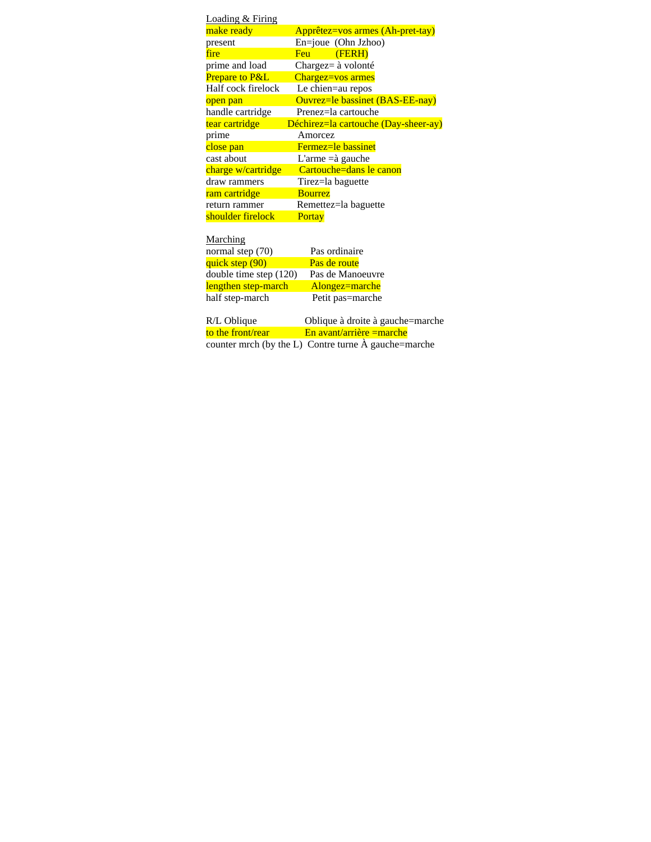| <u>Loading &amp; Firing</u> |                                      |
|-----------------------------|--------------------------------------|
| make ready                  | Apprêtez=vos armes (Ah-pret-tay)     |
| present                     | $En = joue$ (Ohn Jzhoo)              |
| fire                        | Feu<br>(FERH)                        |
| prime and load              | Chargez= $\grave{a}$ volonté         |
| <b>Prepare to P&amp;L</b>   | Chargez=vos armes                    |
| Half cock firelock          | Le chien=au repos                    |
| open pan                    | Ouvrez=le bassinet (BAS-EE-nay)      |
| handle cartridge            | Prenez=la cartouche                  |
| tear cartridge              | Déchirez=la cartouche (Day-sheer-ay) |
| prime                       | Amorcez                              |
| close pan                   | <b>Fermez=le bassinet</b>            |
| cast about                  | L'arme $=\hat{a}$ gauche             |
| charge w/cartridge          | Cartouche=dans le canon              |
| draw rammers                | Tirez=la baguette                    |
| ram cartridge               | <b>Bourrez</b>                       |
| return rammer               | Remettez=la baguette                 |
| shoulder firelock           | Portay                               |
|                             |                                      |
| Marching                    |                                      |
| normal step (70)            | Pas ordinaire                        |

| $normal$ $sub$ $(10)$    | a as organicus   |  |  |  |
|--------------------------|------------------|--|--|--|
| quick step (90)          | Pas de route     |  |  |  |
| double time step $(120)$ | Pas de Manoeuvre |  |  |  |
| lengthen step-march      | Alongez=marche   |  |  |  |
| half step-march          | Petit pas=marche |  |  |  |
|                          |                  |  |  |  |

| R/L Oblique                                                  | Oblique à droite à gauche=marche |  |
|--------------------------------------------------------------|----------------------------------|--|
| to the front/rear                                            | $En$ avant/arrière = marche      |  |
| counter mrch (by the L) Contre turne $\hat{A}$ gauche=marche |                                  |  |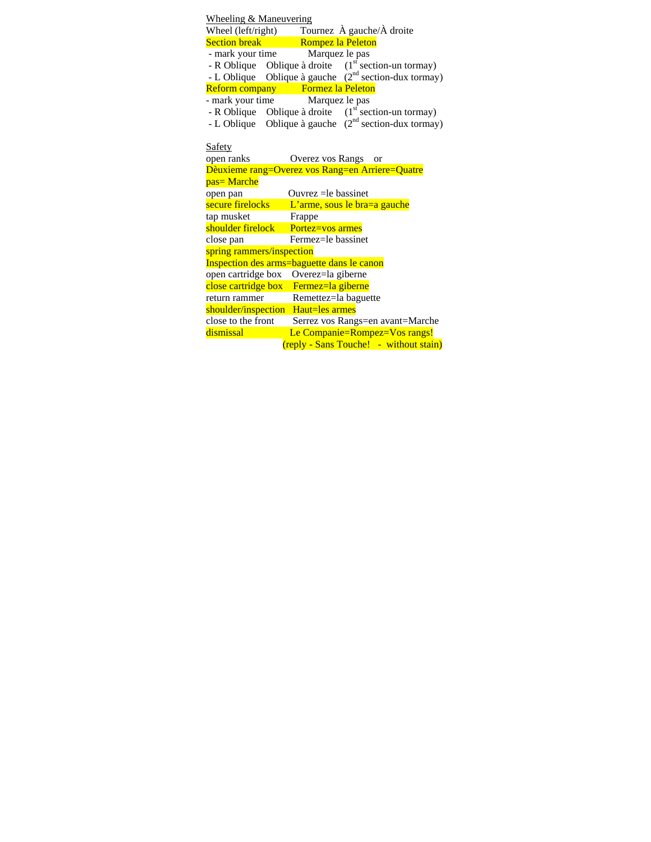| <b>Wheeling &amp; Maneuvering</b>                                                                                            |  |  |  |  |  |
|------------------------------------------------------------------------------------------------------------------------------|--|--|--|--|--|
|                                                                                                                              |  |  |  |  |  |
| Wheel (left/right) Tournez À gauche/À droite<br>Section break Romnez la Peleton<br><b>Section break</b><br>Rompez la Peleton |  |  |  |  |  |
| Marquez le pas<br>- mark your time                                                                                           |  |  |  |  |  |
| - R Oblique Oblique à droite $(1st section-un tornay)$                                                                       |  |  |  |  |  |
| - L Oblique Oblique à gauche $(2^{nd}$ section-dux tormay)                                                                   |  |  |  |  |  |
| Reform company Formez la Peleton                                                                                             |  |  |  |  |  |
| - mark your time Marquez le pas                                                                                              |  |  |  |  |  |
| - R Oblique Oblique à droite $(1st section-un tornay)$                                                                       |  |  |  |  |  |
| - L Oblique Oblique à gauche $(2^{nd}$ section-dux tormay)                                                                   |  |  |  |  |  |
|                                                                                                                              |  |  |  |  |  |
| Safety                                                                                                                       |  |  |  |  |  |
| open ranks<br>Overez vos Rangs or                                                                                            |  |  |  |  |  |
| Dèuxieme rang=Overez vos Rang=en Arriere=Quatre                                                                              |  |  |  |  |  |
| pas=Marche                                                                                                                   |  |  |  |  |  |
| open pan<br>Ouvrez $=$ le bassinet                                                                                           |  |  |  |  |  |
| secure firelocks<br>L'arme, sous le bra=a gauche                                                                             |  |  |  |  |  |
| tap musket<br>Frappe                                                                                                         |  |  |  |  |  |
| shoulder firelock<br>Portez=vos armes                                                                                        |  |  |  |  |  |
| Fermez=le bassinet<br>close pan                                                                                              |  |  |  |  |  |
| spring rammers/inspection                                                                                                    |  |  |  |  |  |
| Inspection des arms=baguette dans le canon                                                                                   |  |  |  |  |  |
| open cartridge box Overez=la giberne                                                                                         |  |  |  |  |  |
| close cartridge box Fermez=la giberne                                                                                        |  |  |  |  |  |
| Remettez=la baguette<br>return rammer                                                                                        |  |  |  |  |  |
| shoulder/inspection Haut=les armes                                                                                           |  |  |  |  |  |
| close to the front<br>Serrez vos Rangs=en avant=Marche                                                                       |  |  |  |  |  |
| Le Companie=Rompez=Vos rangs!<br>dismissal                                                                                   |  |  |  |  |  |
| (reply - Sans Touche! - without stain)                                                                                       |  |  |  |  |  |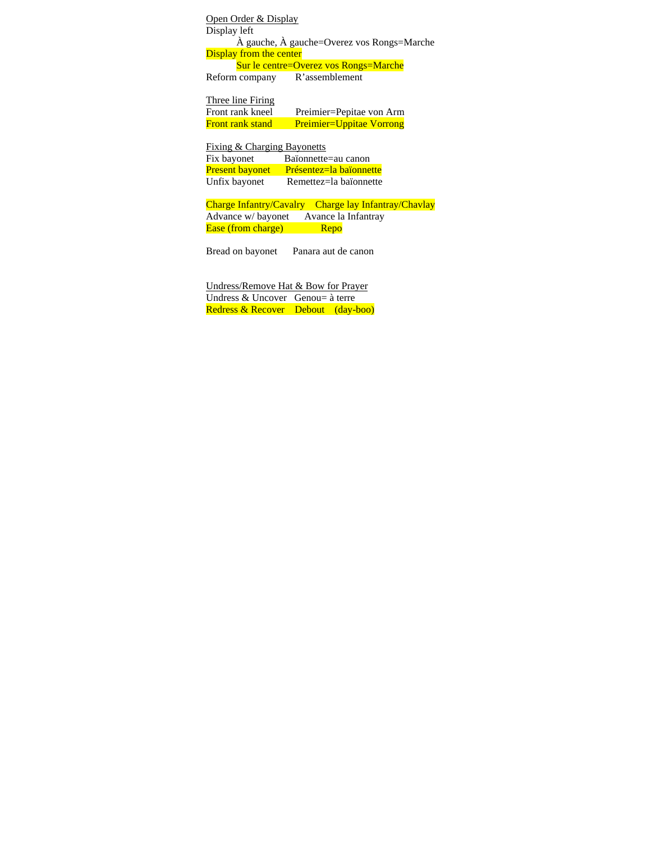Open Order & Display Display left À gauche, À gauche=Overez vos Rongs=Marche **Display from the center**  Sur le centre=Overez vos Rongs=Marche Reform company R'assemblement

Three line Firing Front rank kneel Preimier=Pepitae von Arm Front rank stand Preimier=Uppitae Vorrong

Fixing & Charging Bayonetts Fix bayonet Baïonnette=au canon<br>Present bayonet Présentez=la baïonnet Présentez=la baïonnette Unfix bayonet Remettez=la baïonnette

Charge Infantry/Cavalry Charge lay Infantray/Chavlay Advance w/ bayonet Avance la Infantray Ease (from charge) Repo

Bread on bayonet Panara aut de canon

Undress/Remove Hat & Bow for Prayer Undress & Uncover Genou= à terre Redress & Recover Debout (day-boo)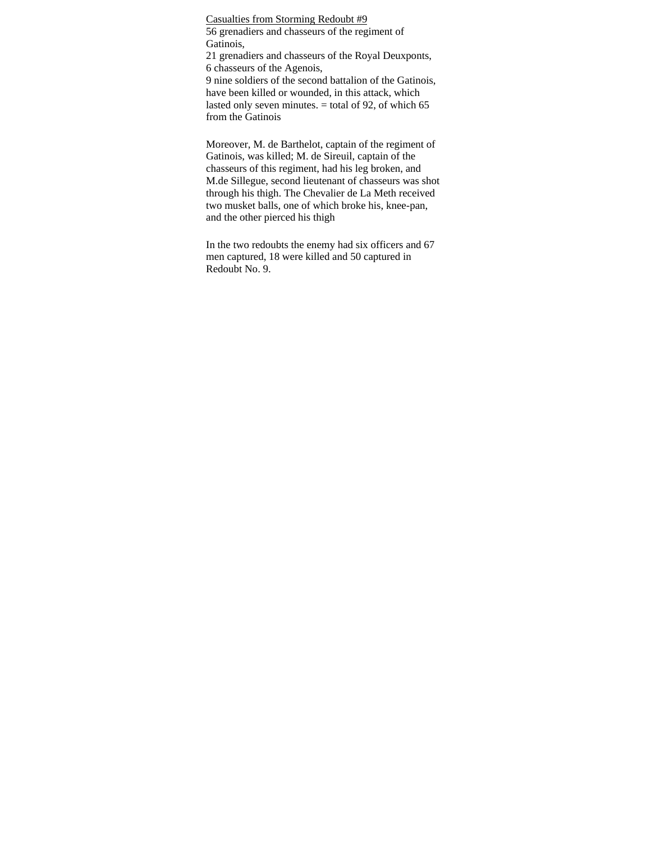Casualties from Storming Redoubt #9 56 grenadiers and chasseurs of the regiment of Gatinois,

21 grenadiers and chasseurs of the Royal Deuxponts, 6 chasseurs of the Agenois,

9 nine soldiers of the second battalion of the Gatinois, have been killed or wounded, in this attack, which lasted only seven minutes.  $=$  total of 92, of which 65 from the Gatinois

Moreover, M. de Barthelot, captain of the regiment of Gatinois, was killed; M. de Sireuil, captain of the chasseurs of this regiment, had his leg broken, and M.de Sillegue, second lieutenant of chasseurs was shot through his thigh. The Chevalier de La Meth received two musket balls, one of which broke his, knee-pan, and the other pierced his thigh

In the two redoubts the enemy had six officers and 67 men captured, 18 were killed and 50 captured in Redoubt No. 9.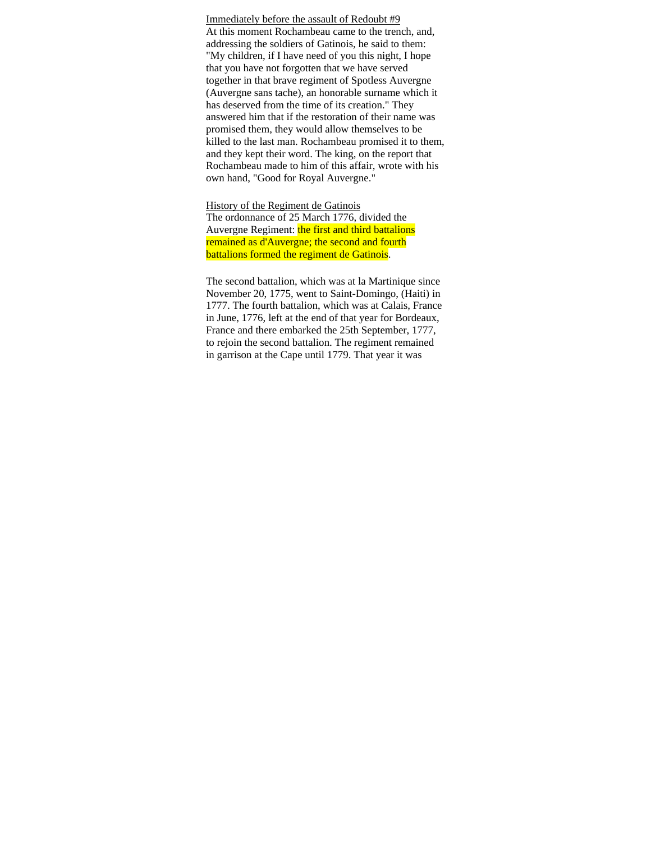Immediately before the assault of Redoubt #9 At this moment Rochambeau came to the trench, and, addressing the soldiers of Gatinois, he said to them: "My children, if I have need of you this night, I hope that you have not forgotten that we have served together in that brave regiment of Spotless Auvergne (Auvergne sans tache), an honorable surname which it has deserved from the time of its creation." They answered him that if the restoration of their name was promised them, they would allow themselves to be killed to the last man. Rochambeau promised it to them, and they kept their word. The king, on the report that Rochambeau made to him of this affair, wrote with his own hand, "Good for Royal Auvergne."

History of the Regiment de Gatinois The ordonnance of 25 March 1776, divided the Auvergne Regiment: the first and third battalions remained as d'Auvergne; the second and fourth battalions formed the regiment de Gatinois.

The second battalion, which was at la Martinique since November 20, 1775, went to Saint-Domingo, (Haiti) in 1777. The fourth battalion, which was at Calais, France in June, 1776, left at the end of that year for Bordeaux, France and there embarked the 25th September, 1777, to rejoin the second battalion. The regiment remained in garrison at the Cape until 1779. That year it was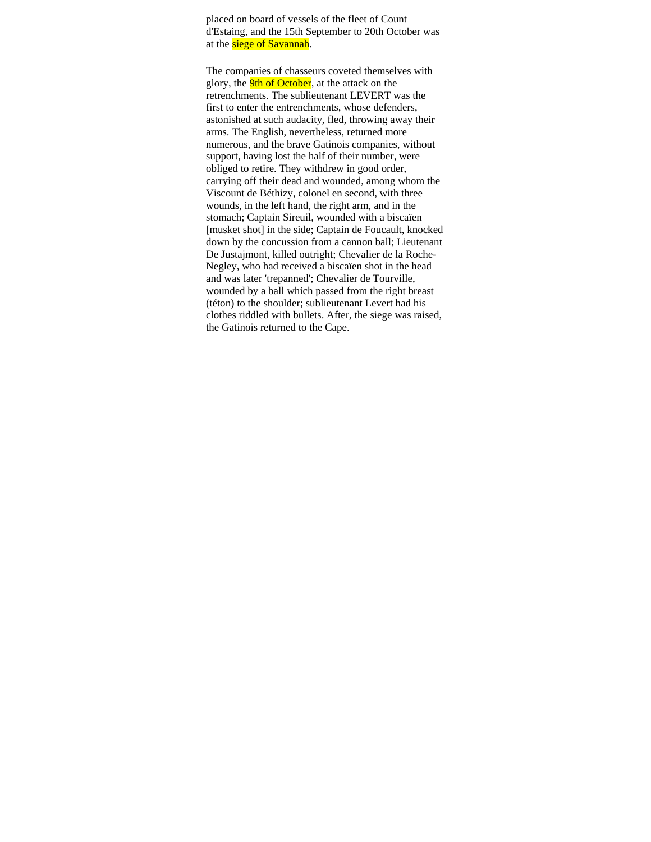placed on board of vessels of the fleet of Count d'Estaing, and the 15th September to 20th October was at the siege of Savannah.

The companies of chasseurs coveted themselves with glory, the **9th of October**, at the attack on the retrenchments. The sublieutenant LEVERT was the first to enter the entrenchments, whose defenders, astonished at such audacity, fled, throwing away their arms. The English, nevertheless, returned more numerous, and the brave Gatinois companies, without support, having lost the half of their number, were obliged to retire. They withdrew in good order, carrying off their dead and wounded, among whom the Viscount de Béthizy, colonel en second, with three wounds, in the left hand, the right arm, and in the stomach; Captain Sireuil, wounded with a biscaïen [musket shot] in the side; Captain de Foucault, knocked down by the concussion from a cannon ball; Lieutenant De Justajmont, killed outright; Chevalier de la Roche-Negley, who had received a biscaïen shot in the head and was later 'trepanned'; Chevalier de Tourville, wounded by a ball which passed from the right breast (téton) to the shoulder; sublieutenant Levert had his clothes riddled with bullets. After, the siege was raised, the Gatinois returned to the Cape.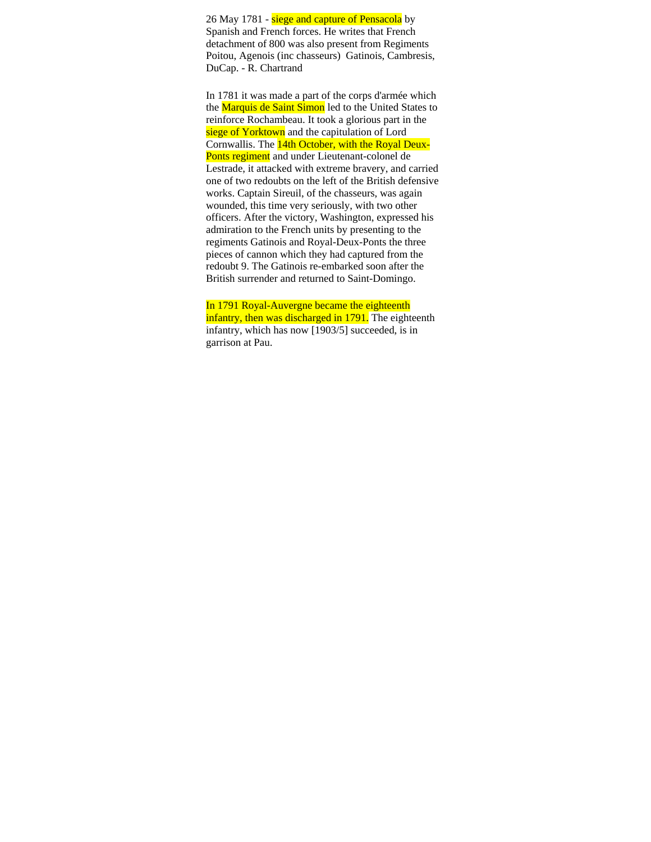26 May 1781 - siege and capture of Pensacola by Spanish and French forces. He writes that French detachment of 800 was also present from Regiments Poitou, Agenois (inc chasseurs) Gatinois, Cambresis, DuCap. - R. Chartrand

In 1781 it was made a part of the corps d'armée which the Marquis de Saint Simon led to the United States to reinforce Rochambeau. It took a glorious part in the siege of Yorktown and the capitulation of Lord Cornwallis. The 14th October, with the Royal Deux-Ponts regiment and under Lieutenant-colonel de Lestrade, it attacked with extreme bravery, and carried one of two redoubts on the left of the British defensive works. Captain Sireuil, of the chasseurs, was again wounded, this time very seriously, with two other officers. After the victory, Washington, expressed his admiration to the French units by presenting to the regiments Gatinois and Royal-Deux-Ponts the three pieces of cannon which they had captured from the redoubt 9. The Gatinois re-embarked soon after the British surrender and returned to Saint-Domingo.

In 1791 Royal-Auvergne became the eighteenth infantry, then was discharged in 1791. The eighteenth infantry, which has now [1903/5] succeeded, is in garrison at Pau.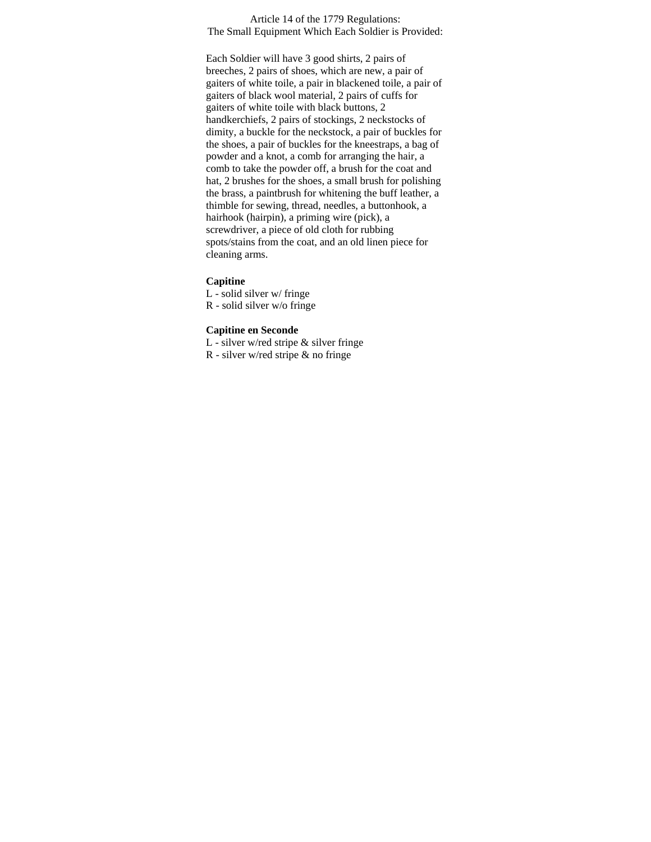Article 14 of the 1779 Regulations: The Small Equipment Which Each Soldier is Provided:

Each Soldier will have 3 good shirts, 2 pairs of breeches, 2 pairs of shoes, which are new, a pair of gaiters of white toile, a pair in blackened toile, a pair of gaiters of black wool material, 2 pairs of cuffs for gaiters of white toile with black buttons, 2 handkerchiefs, 2 pairs of stockings, 2 neckstocks of dimity, a buckle for the neckstock, a pair of buckles for the shoes, a pair of buckles for the kneestraps, a bag of powder and a knot, a comb for arranging the hair, a comb to take the powder off, a brush for the coat and hat, 2 brushes for the shoes, a small brush for polishing the brass, a paintbrush for whitening the buff leather, a thimble for sewing, thread, needles, a buttonhook, a hairhook (hairpin), a priming wire (pick), a screwdriver, a piece of old cloth for rubbing spots/stains from the coat, and an old linen piece for cleaning arms.

## **Capitine**

L - solid silver w/ fringe R - solid silver w/o fringe

## **Capitine en Seconde**

L - silver w/red stripe & silver fringe

R - silver w/red stripe & no fringe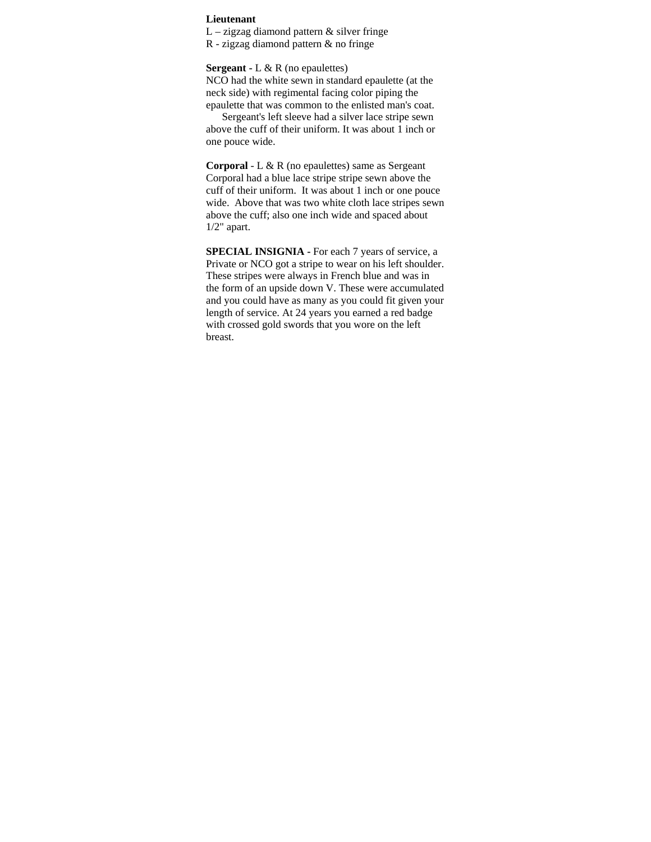## **Lieutenant**

 $L - zigzag$  diamond pattern  $&$  silver fringe

R - zigzag diamond pattern & no fringe

**Sergeant -** L & R (no epaulettes)

NCO had the white sewn in standard epaulette (at the neck side) with regimental facing color piping the epaulette that was common to the enlisted man's coat.

 Sergeant's left sleeve had a silver lace stripe sewn above the cuff of their uniform. It was about 1 inch or one pouce wide.

**Corporal** - L & R (no epaulettes) same as Sergeant Corporal had a blue lace stripe stripe sewn above the cuff of their uniform. It was about 1 inch or one pouce wide. Above that was two white cloth lace stripes sewn above the cuff; also one inch wide and spaced about 1/2" apart.

**SPECIAL INSIGNIA -** For each 7 years of service, a Private or NCO got a stripe to wear on his left shoulder. These stripes were always in French blue and was in the form of an upside down V. These were accumulated and you could have as many as you could fit given your length of service. At 24 years you earned a red badge with crossed gold swords that you wore on the left breast.